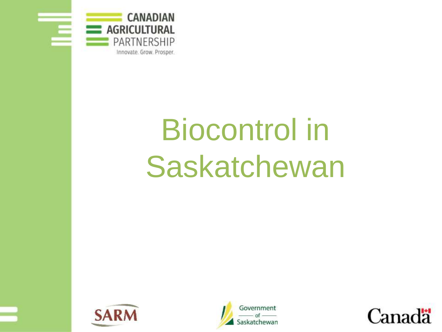

# Biocontrol in Saskatchewan





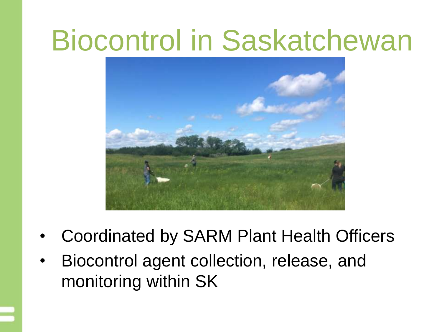#### Biocontrol in Saskatchewan



- Coordinated by SARM Plant Health Officers
- Biocontrol agent collection, release, and monitoring within SK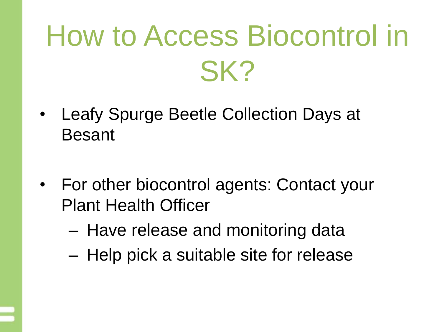## How to Access Biocontrol in SK?

- Leafy Spurge Beetle Collection Days at Besant
- For other biocontrol agents: Contact your Plant Health Officer
	- Have release and monitoring data
	- Help pick a suitable site for release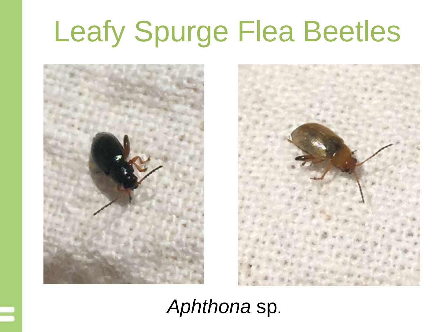## Leafy Spurge Flea Beetles





#### *Aphthona* sp.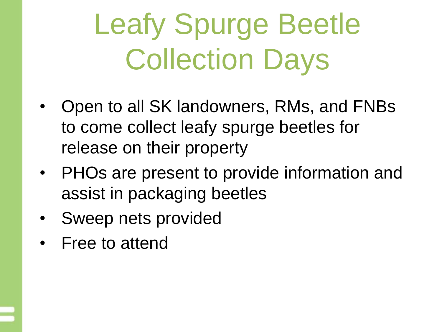## Leafy Spurge Beetle Collection Days

- Open to all SK landowners, RMs, and FNBs to come collect leafy spurge beetles for release on their property
- PHOs are present to provide information and assist in packaging beetles
- Sweep nets provided
- Free to attend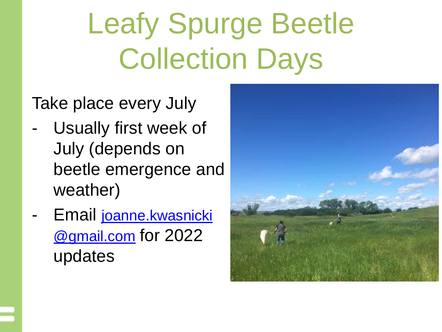## Leafy Spurge Beetle Collection Days

Take place every July

- Usually first week of July (depends on beetle emergence and weather)
- Email [joanne.kwasnicki](mailto:joanne.Kwasnicki@gmail.com) @gmail.com for 2022 updates

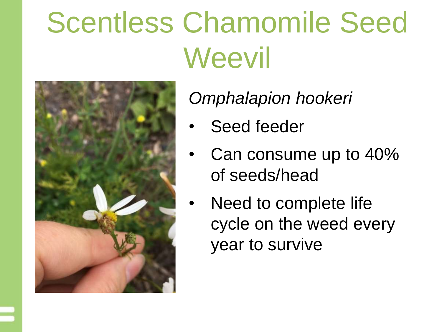### Scentless Chamomile Seed **Weevil**



*Omphalapion hookeri*

- Seed feeder
- Can consume up to 40% of seeds/head
- Need to complete life cycle on the weed every year to survive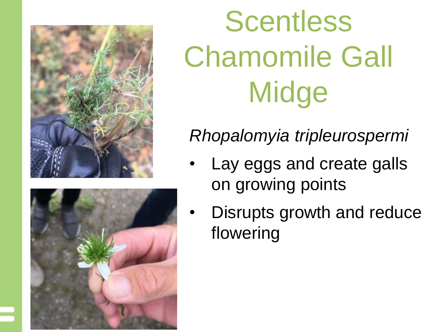



# **Scentless** Chamomile Gall **Midge**

#### *Rhopalomyia tripleurospermi*

- Lay eggs and create galls on growing points
- Disrupts growth and reduce flowering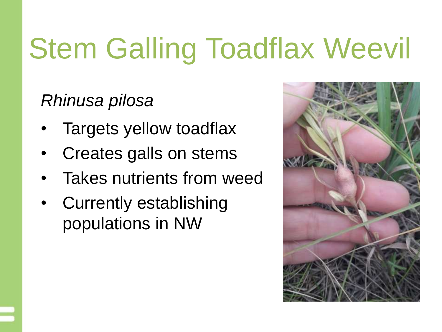## Stem Galling Toadflax Weevil

*Rhinusa pilosa*

- Targets yellow toadflax
- Creates galls on stems
- Takes nutrients from weed
- Currently establishing populations in NW

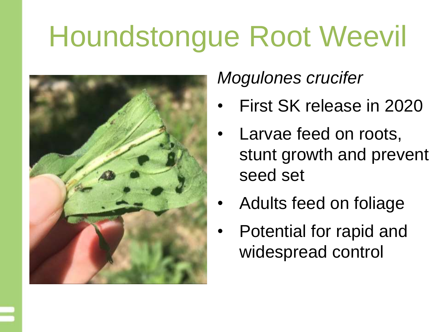### Houndstongue Root Weevil



#### *Mogulones crucifer*

- First SK release in 2020
- Larvae feed on roots, stunt growth and prevent seed set
- Adults feed on foliage
- Potential for rapid and widespread control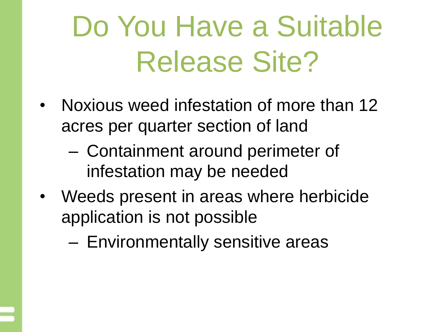### Do You Have a Suitable Release Site?

- Noxious weed infestation of more than 12 acres per quarter section of land
	- Containment around perimeter of infestation may be needed
- Weeds present in areas where herbicide application is not possible
	- Environmentally sensitive areas